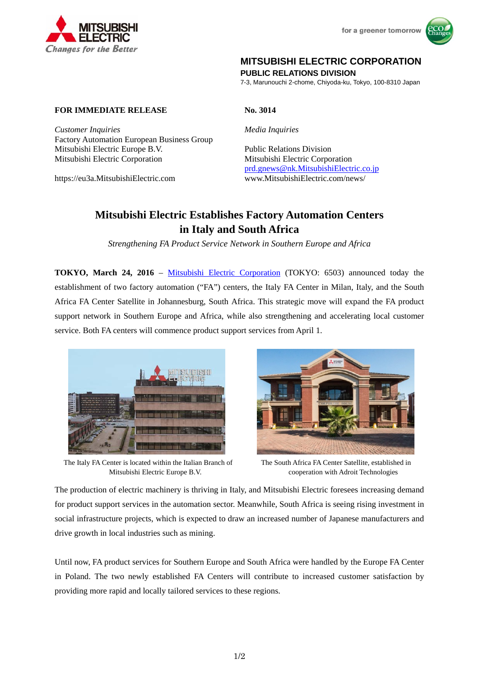



## **MITSUBISHI ELECTRIC CORPORATION**

**PUBLIC RELATIONS DIVISION** 

7-3, Marunouchi 2-chome, Chiyoda-ku, Tokyo, 100-8310 Japan

## **FOR IMMEDIATE RELEASE No. 3014**

*Customer Inquiries Media Inquiries* Factory Automation European Business Group Mitsubishi Electric Europe B.V. Public Relations Division Mitsubishi Electric Corporation Mitsubishi Electric Corporation

prd.gnews@nk.MitsubishiElectric.co.jp https://eu3a.MitsubishiElectric.com www.MitsubishiElectric.com/news/

# **Mitsubishi Electric Establishes Factory Automation Centers in Italy and South Africa**

*Strengthening FA Product Service Network in Southern Europe and Africa* 

**TOKYO, March 24, 2016** – Mitsubishi Electric Corporation (TOKYO: 6503) announced today the establishment of two factory automation ("FA") centers, the Italy FA Center in Milan, Italy, and the South Africa FA Center Satellite in Johannesburg, South Africa. This strategic move will expand the FA product support network in Southern Europe and Africa, while also strengthening and accelerating local customer service. Both FA centers will commence product support services from April 1.



The Italy FA Center is located within the Italian Branch of Mitsubishi Electric Europe B.V.

The South Africa FA Center Satellite, established in cooperation with Adroit Technologies

The production of electric machinery is thriving in Italy, and Mitsubishi Electric foresees increasing demand for product support services in the automation sector. Meanwhile, South Africa is seeing rising investment in social infrastructure projects, which is expected to draw an increased number of Japanese manufacturers and drive growth in local industries such as mining.

Until now, FA product services for Southern Europe and South Africa were handled by the Europe FA Center in Poland. The two newly established FA Centers will contribute to increased customer satisfaction by providing more rapid and locally tailored services to these regions.